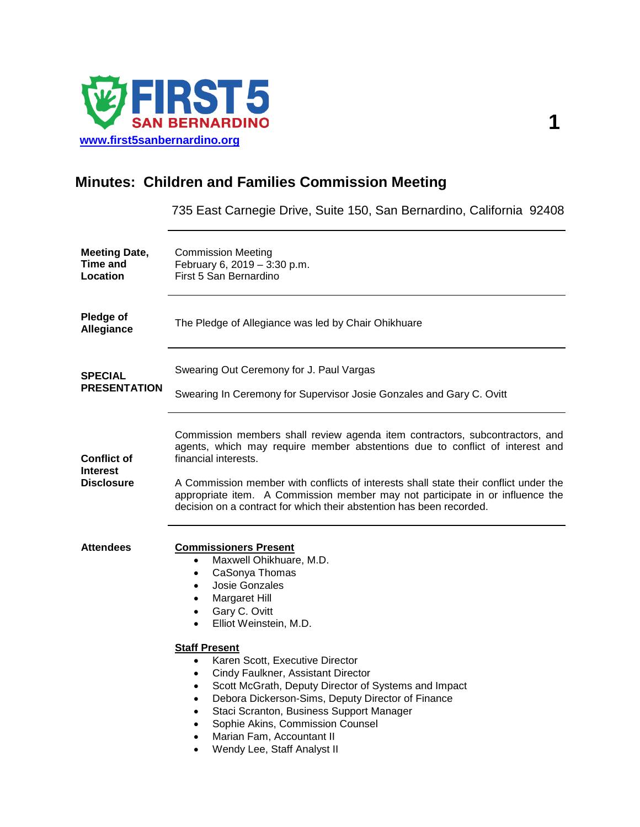

# **Minutes: Children and Families Commission Meeting**

735 East Carnegie Drive, Suite 150, San Bernardino, California 92408

| <b>Meeting Date,</b><br><b>Time and</b><br>Location        | <b>Commission Meeting</b><br>February 6, 2019 - 3:30 p.m.<br>First 5 San Bernardino                                                                                                                                                                                                                                                                                                                                                                                                                                                                                                                                                                 |
|------------------------------------------------------------|-----------------------------------------------------------------------------------------------------------------------------------------------------------------------------------------------------------------------------------------------------------------------------------------------------------------------------------------------------------------------------------------------------------------------------------------------------------------------------------------------------------------------------------------------------------------------------------------------------------------------------------------------------|
| Pledge of<br>Allegiance                                    | The Pledge of Allegiance was led by Chair Ohikhuare                                                                                                                                                                                                                                                                                                                                                                                                                                                                                                                                                                                                 |
| <b>SPECIAL</b><br><b>PRESENTATION</b>                      | Swearing Out Ceremony for J. Paul Vargas<br>Swearing In Ceremony for Supervisor Josie Gonzales and Gary C. Ovitt                                                                                                                                                                                                                                                                                                                                                                                                                                                                                                                                    |
| <b>Conflict of</b><br><b>Interest</b><br><b>Disclosure</b> | Commission members shall review agenda item contractors, subcontractors, and<br>agents, which may require member abstentions due to conflict of interest and<br>financial interests.<br>A Commission member with conflicts of interests shall state their conflict under the<br>appropriate item. A Commission member may not participate in or influence the<br>decision on a contract for which their abstention has been recorded.                                                                                                                                                                                                               |
| <b>Attendees</b>                                           | <b>Commissioners Present</b><br>Maxwell Ohikhuare, M.D.<br>$\bullet$<br>CaSonya Thomas<br>$\bullet$<br>Josie Gonzales<br>$\bullet$<br>Margaret Hill<br>Gary C. Ovitt<br>$\bullet$<br>Elliot Weinstein, M.D.<br><b>Staff Present</b><br>Karen Scott, Executive Director<br>$\bullet$<br>Cindy Faulkner, Assistant Director<br>$\bullet$<br>Scott McGrath, Deputy Director of Systems and Impact<br>$\bullet$<br>Debora Dickerson-Sims, Deputy Director of Finance<br>$\bullet$<br>Staci Scranton, Business Support Manager<br>$\bullet$<br>Sophie Akins, Commission Counsel<br>Marian Fam. Accountant II<br>$\bullet$<br>Wendy Lee, Staff Analyst II |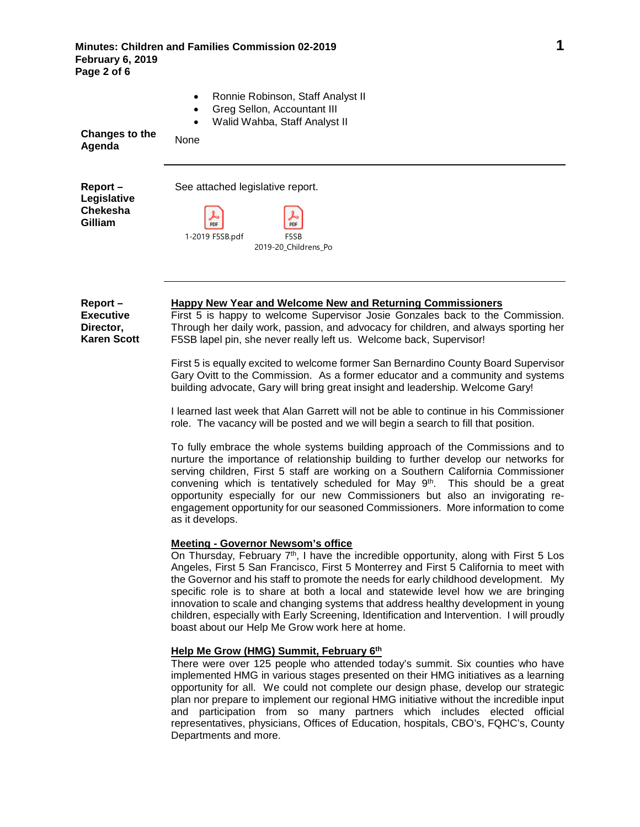| Changes to the<br>Agenda                                          | Ronnie Robinson, Staff Analyst II<br>Greg Sellon, Accountant III<br>Walid Wahba, Staff Analyst II<br>$\bullet$<br>None                                                                                                                                                                                    |
|-------------------------------------------------------------------|-----------------------------------------------------------------------------------------------------------------------------------------------------------------------------------------------------------------------------------------------------------------------------------------------------------|
| $Report -$<br>Legislative<br><b>Chekesha</b><br>Gilliam           | See attached legislative report.<br>PDF<br>PDF<br>1-2019 F5SB.pdf<br>F5SB<br>2019-20_Childrens_Po                                                                                                                                                                                                         |
| $Report -$<br><b>Executive</b><br>Director,<br><b>Karen Scott</b> | Happy New Year and Welcome New and Returning Commissioners<br>First 5 is happy to welcome Supervisor Josie Gonzales back to the Commission.<br>Through her daily work, passion, and advocacy for children, and always sporting her<br>F5SB lapel pin, she never really left us. Welcome back, Supervisor! |

First 5 is equally excited to welcome former San Bernardino County Board Supervisor Gary Ovitt to the Commission. As a former educator and a community and systems building advocate, Gary will bring great insight and leadership. Welcome Gary!

I learned last week that Alan Garrett will not be able to continue in his Commissioner role. The vacancy will be posted and we will begin a search to fill that position.

To fully embrace the whole systems building approach of the Commissions and to nurture the importance of relationship building to further develop our networks for serving children, First 5 staff are working on a Southern California Commissioner convening which is tentatively scheduled for May 9<sup>th</sup>. This should be a great opportunity especially for our new Commissioners but also an invigorating reengagement opportunity for our seasoned Commissioners. More information to come as it develops.

## **Meeting - Governor Newsom's office**

On Thursday, February  $7<sup>th</sup>$ , I have the incredible opportunity, along with First 5 Los Angeles, First 5 San Francisco, First 5 Monterrey and First 5 California to meet with the Governor and his staff to promote the needs for early childhood development. My specific role is to share at both a local and statewide level how we are bringing innovation to scale and changing systems that address healthy development in young children, especially with Early Screening, Identification and Intervention. I will proudly boast about our Help Me Grow work here at home.

### **Help Me Grow (HMG) Summit, February 6th**

There were over 125 people who attended today's summit. Six counties who have implemented HMG in various stages presented on their HMG initiatives as a learning opportunity for all. We could not complete our design phase, develop our strategic plan nor prepare to implement our regional HMG initiative without the incredible input and participation from so many partners which includes elected official representatives, physicians, Offices of Education, hospitals, CBO's, FQHC's, County Departments and more.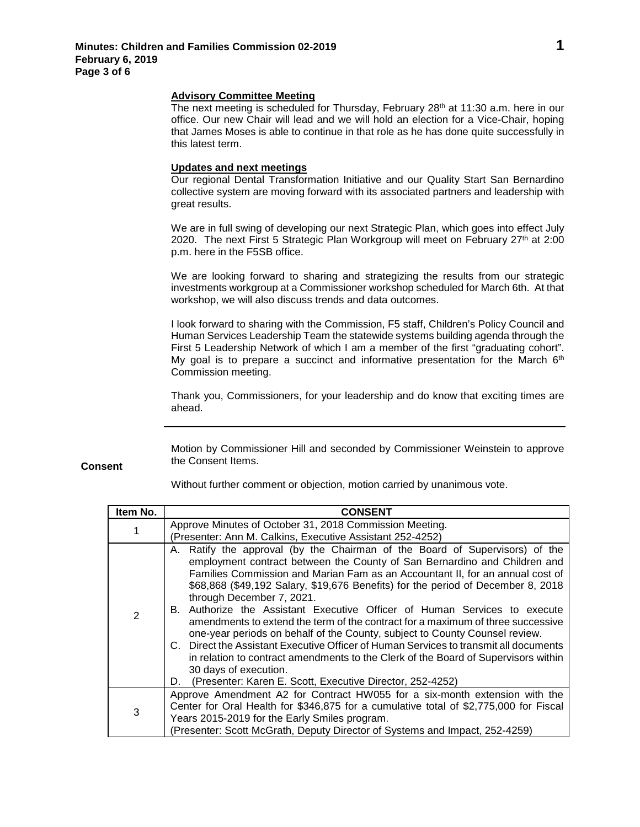#### **Advisory Committee Meeting**

The next meeting is scheduled for Thursday, February  $28<sup>th</sup>$  at 11:30 a.m. here in our office. Our new Chair will lead and we will hold an election for a Vice-Chair, hoping that James Moses is able to continue in that role as he has done quite successfully in this latest term.

#### **Updates and next meetings**

Our regional Dental Transformation Initiative and our Quality Start San Bernardino collective system are moving forward with its associated partners and leadership with great results.

We are in full swing of developing our next Strategic Plan, which goes into effect July 2020. The next First 5 Strategic Plan Workgroup will meet on February  $27<sup>th</sup>$  at 2:00 p.m. here in the F5SB office.

We are looking forward to sharing and strategizing the results from our strategic investments workgroup at a Commissioner workshop scheduled for March 6th. At that workshop, we will also discuss trends and data outcomes.

I look forward to sharing with the Commission, F5 staff, Children's Policy Council and Human Services Leadership Team the statewide systems building agenda through the First 5 Leadership Network of which I am a member of the first "graduating cohort". My goal is to prepare a succinct and informative presentation for the March  $6<sup>th</sup>$ Commission meeting.

Thank you, Commissioners, for your leadership and do know that exciting times are ahead.

Motion by Commissioner Hill and seconded by Commissioner Weinstein to approve

**Consent**

the Consent Items.

| Item No. | <b>CONSENT</b>                                                                                                                                                                                                                                                                                                                                                                                                                                                                                                                                                                                                                                                                                                                                                                                                                                                                          |
|----------|-----------------------------------------------------------------------------------------------------------------------------------------------------------------------------------------------------------------------------------------------------------------------------------------------------------------------------------------------------------------------------------------------------------------------------------------------------------------------------------------------------------------------------------------------------------------------------------------------------------------------------------------------------------------------------------------------------------------------------------------------------------------------------------------------------------------------------------------------------------------------------------------|
|          | Approve Minutes of October 31, 2018 Commission Meeting.<br>(Presenter: Ann M. Calkins, Executive Assistant 252-4252)                                                                                                                                                                                                                                                                                                                                                                                                                                                                                                                                                                                                                                                                                                                                                                    |
| 2        | Ratify the approval (by the Chairman of the Board of Supervisors) of the<br>А.<br>employment contract between the County of San Bernardino and Children and<br>Families Commission and Marian Fam as an Accountant II, for an annual cost of<br>\$68,868 (\$49,192 Salary, \$19,676 Benefits) for the period of December 8, 2018<br>through December 7, 2021.<br>B. Authorize the Assistant Executive Officer of Human Services to execute<br>amendments to extend the term of the contract for a maximum of three successive<br>one-year periods on behalf of the County, subject to County Counsel review.<br>C. Direct the Assistant Executive Officer of Human Services to transmit all documents<br>in relation to contract amendments to the Clerk of the Board of Supervisors within<br>30 days of execution.<br>(Presenter: Karen E. Scott, Executive Director, 252-4252)<br>D. |
| 3        | Approve Amendment A2 for Contract HW055 for a six-month extension with the<br>Center for Oral Health for \$346,875 for a cumulative total of \$2,775,000 for Fiscal<br>Years 2015-2019 for the Early Smiles program.<br>(Presenter: Scott McGrath, Deputy Director of Systems and Impact, 252-4259)                                                                                                                                                                                                                                                                                                                                                                                                                                                                                                                                                                                     |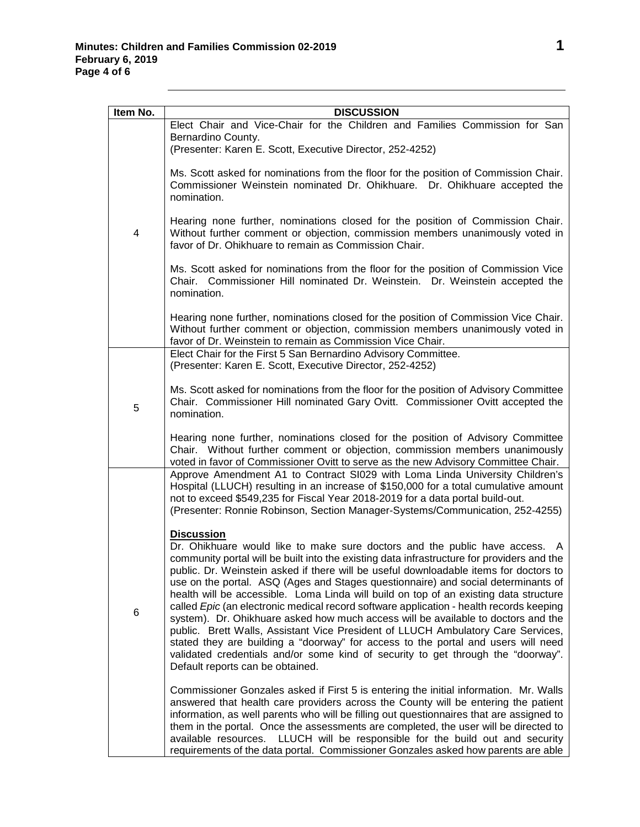| Item No. | <b>DISCUSSION</b>                                                                                                                                                                                                                                                                                                                                                                                                                                                                                                                                                                                                                                                                                                                                                                                                                                                                                                                 |
|----------|-----------------------------------------------------------------------------------------------------------------------------------------------------------------------------------------------------------------------------------------------------------------------------------------------------------------------------------------------------------------------------------------------------------------------------------------------------------------------------------------------------------------------------------------------------------------------------------------------------------------------------------------------------------------------------------------------------------------------------------------------------------------------------------------------------------------------------------------------------------------------------------------------------------------------------------|
| 4        | Elect Chair and Vice-Chair for the Children and Families Commission for San<br>Bernardino County.<br>(Presenter: Karen E. Scott, Executive Director, 252-4252)                                                                                                                                                                                                                                                                                                                                                                                                                                                                                                                                                                                                                                                                                                                                                                    |
|          | Ms. Scott asked for nominations from the floor for the position of Commission Chair.<br>Commissioner Weinstein nominated Dr. Ohikhuare. Dr. Ohikhuare accepted the<br>nomination.                                                                                                                                                                                                                                                                                                                                                                                                                                                                                                                                                                                                                                                                                                                                                 |
|          | Hearing none further, nominations closed for the position of Commission Chair.<br>Without further comment or objection, commission members unanimously voted in<br>favor of Dr. Ohikhuare to remain as Commission Chair.                                                                                                                                                                                                                                                                                                                                                                                                                                                                                                                                                                                                                                                                                                          |
|          | Ms. Scott asked for nominations from the floor for the position of Commission Vice<br>Chair. Commissioner Hill nominated Dr. Weinstein. Dr. Weinstein accepted the<br>nomination.                                                                                                                                                                                                                                                                                                                                                                                                                                                                                                                                                                                                                                                                                                                                                 |
|          | Hearing none further, nominations closed for the position of Commission Vice Chair.<br>Without further comment or objection, commission members unanimously voted in<br>favor of Dr. Weinstein to remain as Commission Vice Chair.                                                                                                                                                                                                                                                                                                                                                                                                                                                                                                                                                                                                                                                                                                |
|          | Elect Chair for the First 5 San Bernardino Advisory Committee.<br>(Presenter: Karen E. Scott, Executive Director, 252-4252)                                                                                                                                                                                                                                                                                                                                                                                                                                                                                                                                                                                                                                                                                                                                                                                                       |
| 5        | Ms. Scott asked for nominations from the floor for the position of Advisory Committee<br>Chair. Commissioner Hill nominated Gary Ovitt. Commissioner Ovitt accepted the<br>nomination.                                                                                                                                                                                                                                                                                                                                                                                                                                                                                                                                                                                                                                                                                                                                            |
|          | Hearing none further, nominations closed for the position of Advisory Committee<br>Chair. Without further comment or objection, commission members unanimously<br>voted in favor of Commissioner Ovitt to serve as the new Advisory Committee Chair.                                                                                                                                                                                                                                                                                                                                                                                                                                                                                                                                                                                                                                                                              |
|          | Approve Amendment A1 to Contract SI029 with Loma Linda University Children's<br>Hospital (LLUCH) resulting in an increase of \$150,000 for a total cumulative amount<br>not to exceed \$549,235 for Fiscal Year 2018-2019 for a data portal build-out.<br>(Presenter: Ronnie Robinson, Section Manager-Systems/Communication, 252-4255)                                                                                                                                                                                                                                                                                                                                                                                                                                                                                                                                                                                           |
|          | <b>Discussion</b>                                                                                                                                                                                                                                                                                                                                                                                                                                                                                                                                                                                                                                                                                                                                                                                                                                                                                                                 |
| 6        | Dr. Ohikhuare would like to make sure doctors and the public have access. A<br>community portal will be built into the existing data infrastructure for providers and the<br>public. Dr. Weinstein asked if there will be useful downloadable items for doctors to<br>use on the portal. ASQ (Ages and Stages questionnaire) and social determinants of<br>health will be accessible. Loma Linda will build on top of an existing data structure<br>called Epic (an electronic medical record software application - health records keeping<br>system). Dr. Ohikhuare asked how much access will be available to doctors and the<br>public. Brett Walls, Assistant Vice President of LLUCH Ambulatory Care Services,<br>stated they are building a "doorway" for access to the portal and users will need<br>validated credentials and/or some kind of security to get through the "doorway".<br>Default reports can be obtained. |
|          | Commissioner Gonzales asked if First 5 is entering the initial information. Mr. Walls<br>answered that health care providers across the County will be entering the patient<br>information, as well parents who will be filling out questionnaires that are assigned to<br>them in the portal. Once the assessments are completed, the user will be directed to<br>available resources. LLUCH will be responsible for the build out and security<br>requirements of the data portal. Commissioner Gonzales asked how parents are able                                                                                                                                                                                                                                                                                                                                                                                             |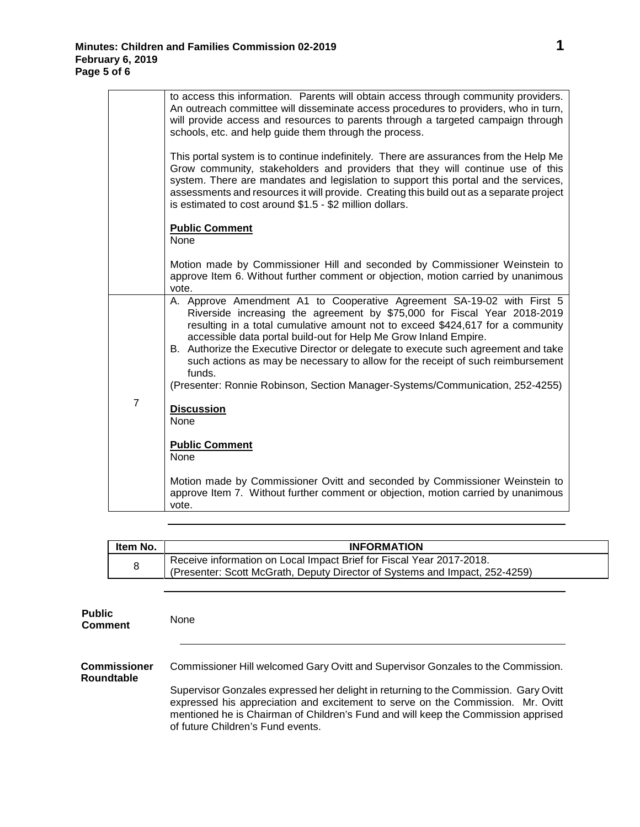|                | to access this information. Parents will obtain access through community providers.<br>An outreach committee will disseminate access procedures to providers, who in turn,<br>will provide access and resources to parents through a targeted campaign through<br>schools, etc. and help guide them through the process.                                                                                                                                                                                                                                                     |
|----------------|------------------------------------------------------------------------------------------------------------------------------------------------------------------------------------------------------------------------------------------------------------------------------------------------------------------------------------------------------------------------------------------------------------------------------------------------------------------------------------------------------------------------------------------------------------------------------|
|                | This portal system is to continue indefinitely. There are assurances from the Help Me<br>Grow community, stakeholders and providers that they will continue use of this<br>system. There are mandates and legislation to support this portal and the services,<br>assessments and resources it will provide. Creating this build out as a separate project<br>is estimated to cost around \$1.5 - \$2 million dollars.                                                                                                                                                       |
|                | <b>Public Comment</b><br>None                                                                                                                                                                                                                                                                                                                                                                                                                                                                                                                                                |
|                | Motion made by Commissioner Hill and seconded by Commissioner Weinstein to<br>approve Item 6. Without further comment or objection, motion carried by unanimous<br>vote.                                                                                                                                                                                                                                                                                                                                                                                                     |
|                | A. Approve Amendment A1 to Cooperative Agreement SA-19-02 with First 5<br>Riverside increasing the agreement by \$75,000 for Fiscal Year 2018-2019<br>resulting in a total cumulative amount not to exceed \$424,617 for a community<br>accessible data portal build-out for Help Me Grow Inland Empire.<br>B. Authorize the Executive Director or delegate to execute such agreement and take<br>such actions as may be necessary to allow for the receipt of such reimbursement<br>funds.<br>(Presenter: Ronnie Robinson, Section Manager-Systems/Communication, 252-4255) |
| $\overline{7}$ | <b>Discussion</b><br>None                                                                                                                                                                                                                                                                                                                                                                                                                                                                                                                                                    |
|                | <b>Public Comment</b><br>None                                                                                                                                                                                                                                                                                                                                                                                                                                                                                                                                                |
|                | Motion made by Commissioner Ovitt and seconded by Commissioner Weinstein to<br>approve Item 7. Without further comment or objection, motion carried by unanimous<br>vote.                                                                                                                                                                                                                                                                                                                                                                                                    |

| Item No. | <b>INFORMATION</b>                                                          |
|----------|-----------------------------------------------------------------------------|
| 8        | Receive information on Local Impact Brief for Fiscal Year 2017-2018.        |
|          | (Presenter: Scott McGrath, Deputy Director of Systems and Impact, 252-4259) |

| <b>Public</b><br><b>Comment</b>          | <b>None</b>                                                                                                                                                                                                                                                                                       |
|------------------------------------------|---------------------------------------------------------------------------------------------------------------------------------------------------------------------------------------------------------------------------------------------------------------------------------------------------|
| <b>Commissioner</b><br><b>Roundtable</b> | Commissioner Hill welcomed Gary Ovitt and Supervisor Gonzales to the Commission.                                                                                                                                                                                                                  |
|                                          | Supervisor Gonzales expressed her delight in returning to the Commission. Gary Ovitt<br>expressed his appreciation and excitement to serve on the Commission. Mr. Ovitt<br>mentioned he is Chairman of Children's Fund and will keep the Commission apprised<br>of future Children's Fund events. |